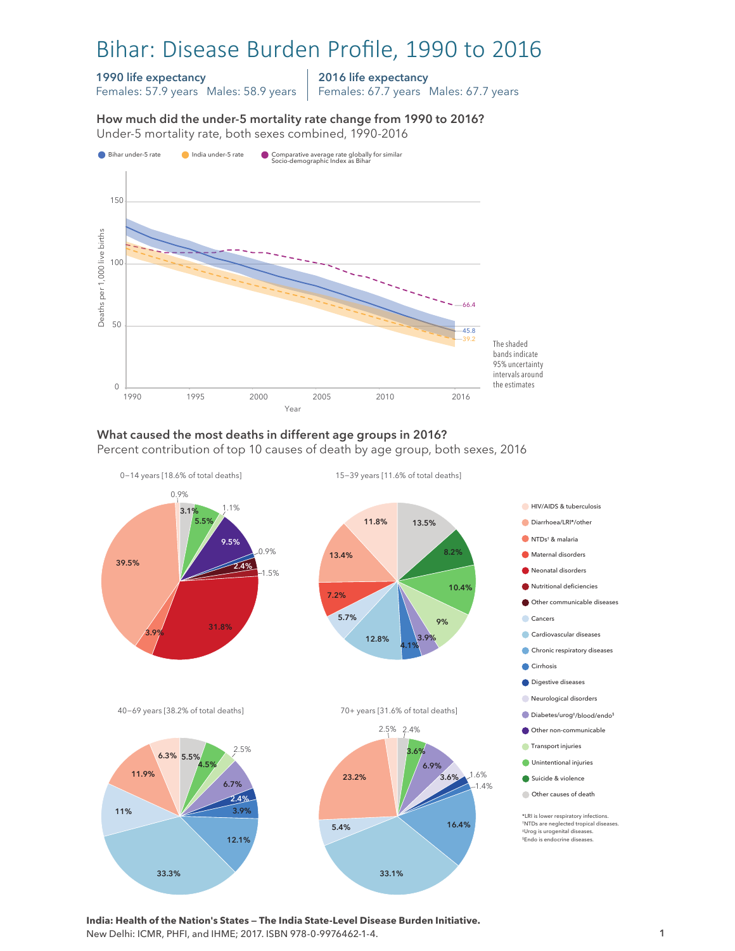# Bihar: Disease Burden Profile, 1990 to 2016

#### 1990 life expectancy

Females: 57.9 years Males: 58.9 years

2016 life expectancy Females: 67.7 years Males: 67.7 years

How much did the under-5 mortality rate change from 1990 to 2016? Under-5 mortality rate, both sexes combined, 1990-2016 Under-5 mortality rate, both sexes combined, 1990-2016 How much did the under-5 mortality rate change from 1990 to 2016?



#### What caused the most deaths in different age groups in 2016? Percent contribution of top 10 causes of death by age group, both sexes, 2016



33.1%

**India: Health of the Nation's States — The India State-Level Disease Burden Initiative.**  New Delhi: ICMR, PHFI, and IHME; 2017. ISBN 978-0-9976462-1-4.

33.3%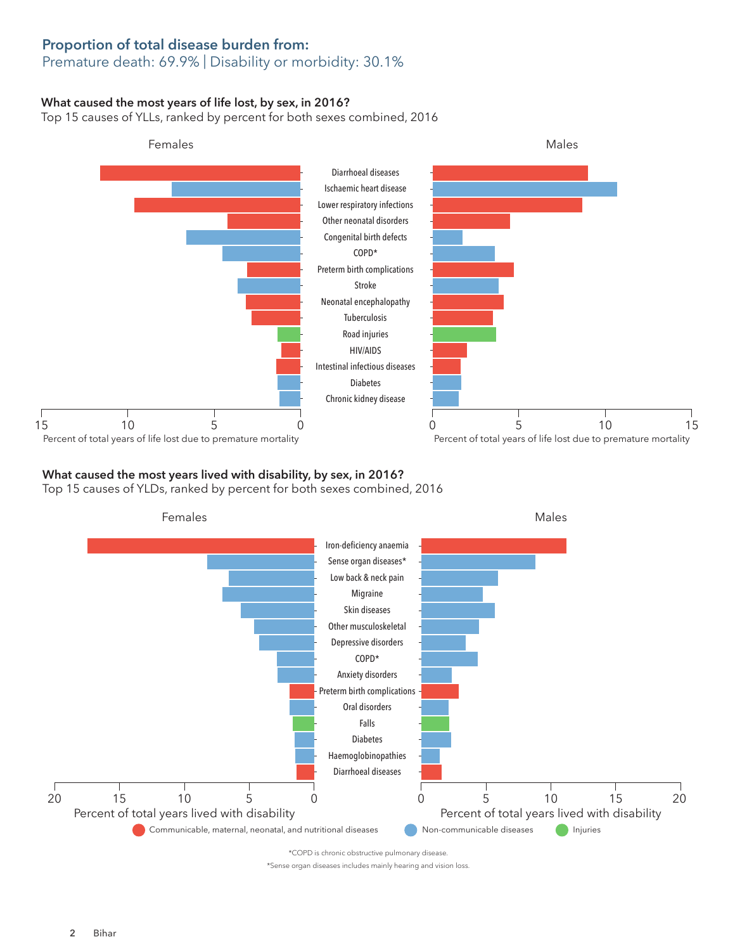## Proportion of total disease burden from:

## Premature death: 69.9% | Disability or morbidity: 30.1%

### What caused the most years of life lost, by sex, in 2016?

Top 15 causes of YLLs, ranked by percent for both sexes combined, 2016



### What caused the most years lived with disability, by sex, in 2016?

Top 15 causes of YLDs, ranked by percent for both sexes combined, 2016



\*Sense organ diseases includes mainly hearing and vision loss.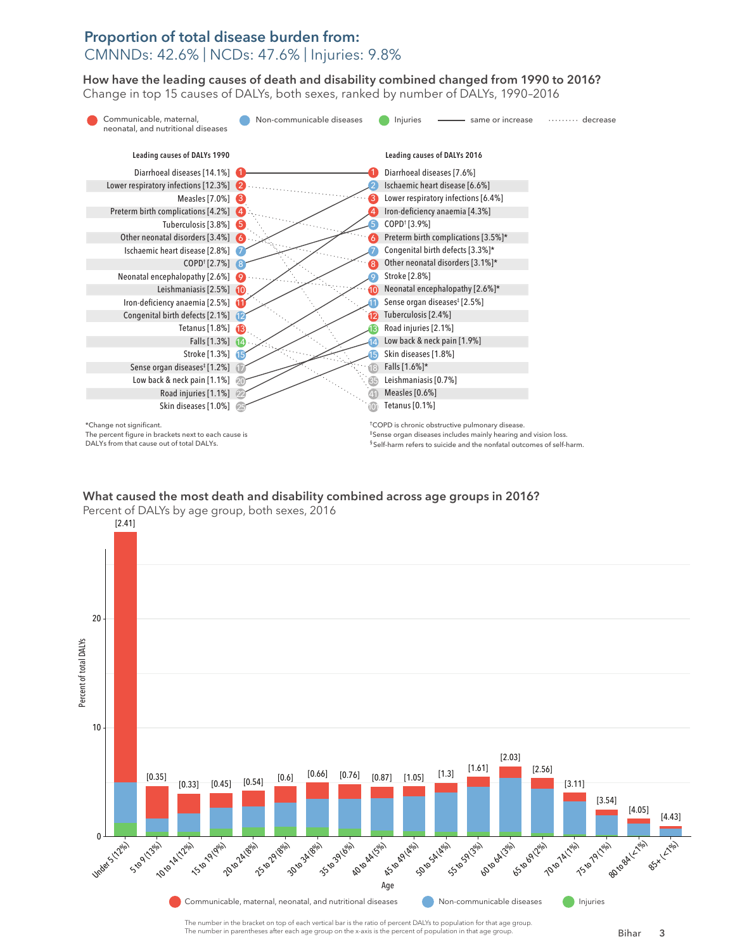# Proportion of total disease burden from: CMNNDs: 42.6% | NCDs: 47.6% | Injuries: 9.8%

How have the leading causes of death and disability combined changed from 1990 to 2016? How have the leading causes of death and disability combined changed from 1990 to 2016? Change in top 15 causes of DALYs, both sexes, ranked by number of DALYs, 1990–2016 Change top 15 causes of DALYs, both sexes, ranked by number of DALYs, 1990–2016



# What caused the most death and disability combined across age groups in 2016? What caused the most death and disability combined across age groups in 2016?



The number in the bracket on top of each vertical bar is the ratio of percent DALYs to population for that age group. The number in parentheses after each age group on the x-axis is the percent of population in that age group.